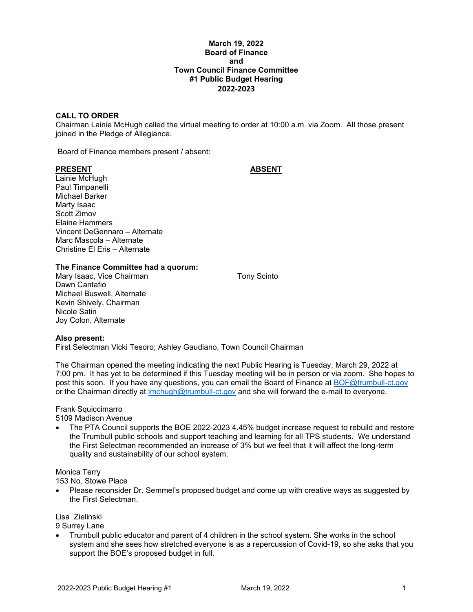#### **March 19, 2022 Board of Finance and Town Council Finance Committee #1 Public Budget Hearing 2022-2023**

### **CALL TO ORDER**

Chairman Lainie McHugh called the virtual meeting to order at 10:00 a.m. via Zoom. All those present joined in the Pledge of Allegiance.

Board of Finance members present / absent:

#### **PRESENT ABSENT**

Lainie McHugh Paul Timpanelli Michael Barker Marty Isaac Scott Zimov Elaine Hammers Vincent DeGennaro – Alternate Marc Mascola – Alternate Christine El Eris – Alternate

**The Finance Committee had a quorum:**

Mary Isaac, Vice Chairman Tony Scinto Dawn Cantafio Michael Buswell, Alternate Kevin Shively, Chairman Nicole Satin Joy Colon, Alternate

#### **Also present:**

First Selectman Vicki Tesoro; Ashley Gaudiano, Town Council Chairman

The Chairman opened the meeting indicating the next Public Hearing is Tuesday, March 29, 2022 at 7:00 pm. It has yet to be determined if this Tuesday meeting will be in person or via zoom. She hopes to post this soon. If you have any questions, you can email the Board of Finance at **BOF@trumbull-ct.gov** or the Chairman directly at *Imchugh@trumbull-ct.gov* and she will forward the e-mail to everyone.

## Frank Squiccimarro

5109 Madison Avenue

• The PTA Council supports the BOE 2022-2023 4.45% budget increase request to rebuild and restore the Trumbull public schools and support teaching and learning for all TPS students. We understand the First Selectman recommended an increase of 3% but we feel that it will affect the long-term quality and sustainability of our school system.

#### Monica Terry

153 No. Stowe Place

• Please reconsider Dr. Semmel's proposed budget and come up with creative ways as suggested by the First Selectman.

Lisa Zielinski

9 Surrey Lane

• Trumbull public educator and parent of 4 children in the school system. She works in the school system and she sees how stretched everyone is as a repercussion of Covid-19, so she asks that you support the BOE's proposed budget in full.